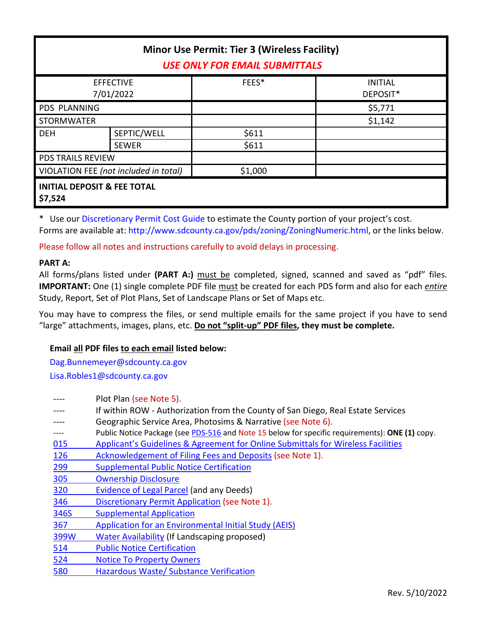| <b>Minor Use Permit: Tier 3 (Wireless Facility)</b><br><b>USE ONLY FOR EMAIL SUBMITTALS</b> |              |         |                            |  |
|---------------------------------------------------------------------------------------------|--------------|---------|----------------------------|--|
| <b>EFFECTIVE</b><br>7/01/2022                                                               |              | FEES*   | <b>INITIAL</b><br>DEPOSIT* |  |
| <b>PDS PLANNING</b>                                                                         |              |         | \$5,771                    |  |
| <b>STORMWATER</b>                                                                           |              |         | \$1,142                    |  |
| <b>DEH</b>                                                                                  | SEPTIC/WELL  | \$611   |                            |  |
|                                                                                             | <b>SEWER</b> | \$611   |                            |  |
| <b>PDS TRAILS REVIEW</b>                                                                    |              |         |                            |  |
| VIOLATION FEE (not included in total)                                                       |              | \$1,000 |                            |  |
| <b>INITIAL DEPOSIT &amp; FEE TOTAL</b><br>\$7,524                                           |              |         |                            |  |

\* Use ou[r Discretionary Permit Cost Guide](http://www.sandiegocounty.gov/content/dam/sdc/pds/docs/Discretionary_Permit_Cost_Guide.xlsx) to estimate the County portion of your project's cost. Forms are available at[: http://www.sdcounty.ca.gov/pds/zoning/ZoningNumeric.html,](http://www.sdcounty.ca.gov/pds/zoning/ZoningNumeric.html) or the links below.

Please follow all notes and instructions carefully to avoid delays in processing.

### **PART A:**

All forms/plans listed under **(PART A:)** must be completed, signed, scanned and saved as "pdf" files. **IMPORTANT:** One (1) single complete PDF file must be created for each PDS form and also for each *entire* Study, Report, Set of Plot Plans, Set of Landscape Plans or Set of Maps etc.

You may have to compress the files, or send multiple emails for the same project if you have to send "large" attachments, images, plans, etc. **Do not "split-up" PDF files, they must be complete.**

### **Email all PDF files to each email listed below:**

[Dag.Bunnemeyer@sdcounty.ca.gov](mailto:Dag.Bunnemeyer@sdcounty.ca.gov) [Lisa.Robles1@sdcounty.ca.gov](mailto:Lisa.Robles1@sdcounty.ca.gov)

|            | Plot Plan (see Note 5).                                                                        |
|------------|------------------------------------------------------------------------------------------------|
|            | If within ROW - Authorization from the County of San Diego, Real Estate Services               |
|            | Geographic Service Area, Photosims & Narrative (see Note 6).                                   |
|            | Public Notice Package (see PDS-516 and Note 15 below for specific requirements): ONE (1) copy. |
| 015        | Applicant's Guidelines & Agreement for Online Submittals for Wireless Facilities               |
| 126        | Acknowledgement of Filing Fees and Deposits (see Note 1).                                      |
| 299        | <b>Supplemental Public Notice Certification</b>                                                |
| 305        | <b>Ownership Disclosure</b>                                                                    |
| 320        | Evidence of Legal Parcel (and any Deeds)                                                       |
| 346        | Discretionary Permit Application (see Note 1).                                                 |
| 346S       | <b>Supplemental Application</b>                                                                |
| <b>367</b> | Application for an Environmental Initial Study (AEIS)                                          |
| 399W       | <b>Water Availability (If Landscaping proposed)</b>                                            |
| 514        | <b>Public Notice Certification</b>                                                             |
| 524        | <b>Notice To Property Owners</b>                                                               |
| 580        | Hazardous Waste/ Substance Verification                                                        |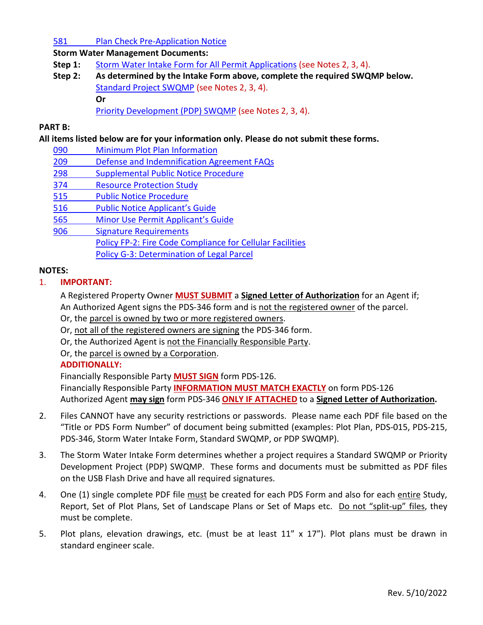# 581 [Plan Check Pre-Application Notice](http://www.sdcounty.ca.gov/pds/zoning/formfields/PDS-PLN-581.pdf)

### **Storm Water Management Documents:**

- **Step 1:** [Storm Water Intake Form for All Permit Applications](http://www.sandiegocounty.gov/content/dam/sdc/pds/zoning/formfields/SWQMP-Intake-Form.pdf) (see Notes 2, 3, 4).
- **Step 2: As determined by the Intake Form above, complete the required SWQMP below.** [Standard Project SWQMP](http://www.sandiegocounty.gov/content/dam/sdc/pds/zoning/formfields/SWQMP-Standard.pdf) (see Notes 2, 3, 4). **Or**

[Priority Development \(PDP\) SWQMP](https://www.sandiegocounty.gov/content/sdc/dpw/watersheds/DevelopmentandConstruction/BMP_Design_Manual.html) (see Notes 2, 3, 4).

## **PART B:**

## **All items listed below are for your information only. Please do not submit these forms.**

- 090 [Minimum Plot Plan Information](http://www.sdcounty.ca.gov/pds/docs/pds090.pdf)
- 209 Defense [and Indemnification Agreement FAQs](http://www.sdcounty.ca.gov/pds/zoning/formfields/PDS-PLN-209.pdf)
- 298 [Supplemental Public Notice Procedure](http://www.sdcounty.ca.gov/pds/zoning/formfields/PDS-PLN-298.pdf)
- [374 Resource Protection Study](http://www.sdcounty.ca.gov/pds/zoning/formfields/PDS-PLN-374.pdf)
- [515 Public Notice Procedure](http://www.sdcounty.ca.gov/pds/zoning/formfields/PDS-PLN-515.pdf)
- [516 Public Notice Applicant's Guide](http://www.sdcounty.ca.gov/pds/zoning/formfields/PDS-PLN-516.pdf)
- 565 [Minor Use Permit Applicant's Guide](http://www.sdcounty.ca.gov/pds/zoning/formfields/PDS-PLN-565.pdf)
- [906 Signature Requirements](http://www.sdcounty.ca.gov/pds/zoning/formfields/PDS-PLN-906.pdf) 
	- [Policy FP-2: Fire Code Compliance for Cellular Facilities](http://www.sdcounty.ca.gov/pds/zoning/formfields/POLICY-FP-2-2015.pdf) 
		- [Policy G-3: Determination of Legal Parcel](http://www.sdcounty.ca.gov/pds/zoning/formfields/POLICY-G-3.pdf)

### **NOTES:**

# 1. **IMPORTANT:**

A Registered Property Owner **MUST SUBMIT** a **Signed Letter of Authorization** for an Agent if; An Authorized Agent signs the PDS-346 form and is not the registered owner of the parcel.

- Or, the parcel is owned by two or more registered owners.
- Or, not all of the registered owners are signing the PDS-346 form.
- Or, the Authorized Agent is not the Financially Responsible Party.
- Or, the parcel is owned by a Corporation.

# **ADDITIONALLY:**

Financially Responsible Party **MUST SIGN** form PDS-126. Financially Responsible Party **INFORMATION MUST MATCH EXACTLY** on form PDS-126 Authorized Agent **may sign** form PDS-346 **ONLY IF ATTACHED** to a **Signed Letter of Authorization.** 

- 2. Files CANNOT have any security restrictions or passwords. Please name each PDF file based on the "Title or PDS Form Number" of document being submitted (examples: Plot Plan, PDS-015, PDS-215, PDS-346, Storm Water Intake Form, Standard SWQMP, or PDP SWQMP).
- 3. The Storm Water Intake Form determines whether a project requires a Standard SWQMP or Priority Development Project (PDP) SWQMP. These forms and documents must be submitted as PDF files on the USB Flash Drive and have all required signatures.
- 4. One (1) single complete PDF file must be created for each PDS Form and also for each entire Study, Report, Set of Plot Plans, Set of Landscape Plans or Set of Maps etc. Do not "split-up" files, they must be complete.
- 5. Plot plans, elevation drawings, etc. (must be at least 11" x 17"). Plot plans must be drawn in standard engineer scale.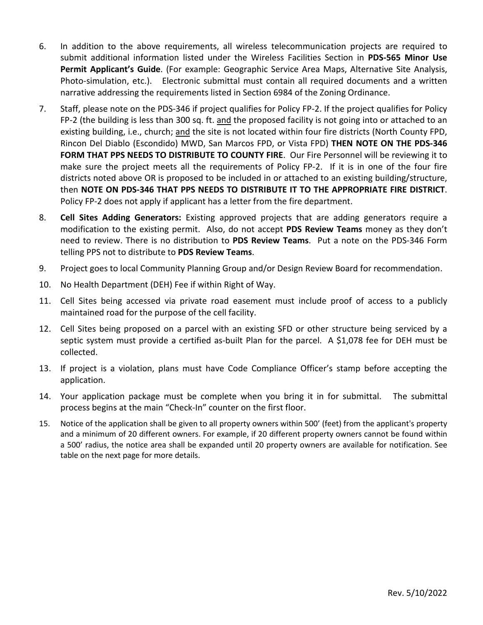- 6. In addition to the above requirements, all wireless telecommunication projects are required to submit additional information listed under the Wireless Facilities Section in **PDS-565 Minor Use Permit Applicant's Guide**. (For example: Geographic Service Area Maps, Alternative Site Analysis, Photo-simulation, etc.). Electronic submittal must contain all required documents and a written narrative addressing the requirements listed in Section 6984 of the Zoning Ordinance.
- 7. Staff, please note on the PDS-346 if project qualifies for Policy FP-2. If the project qualifies for Policy FP-2 (the building is less than 300 sq. ft. and the proposed facility is not going into or attached to an existing building, i.e., church; and the site is not located within four fire districts (North County FPD, Rincon Del Diablo (Escondido) MWD, San Marcos FPD, or Vista FPD) **THEN NOTE ON THE PDS-346 FORM THAT PPS NEEDS TO DISTRIBUTE TO COUNTY FIRE**. Our Fire Personnel will be reviewing it to make sure the project meets all the requirements of Policy FP-2. If it is in one of the four fire districts noted above OR is proposed to be included in or attached to an existing building/structure, then **NOTE ON PDS-346 THAT PPS NEEDS TO DISTRIBUTE IT TO THE APPROPRIATE FIRE DISTRICT**. Policy FP-2 does not apply if applicant has a letter from the fire department.
- 8. **Cell Sites Adding Generators:** Existing approved projects that are adding generators require a modification to the existing permit. Also, do not accept **PDS Review Teams** money as they don't need to review. There is no distribution to **PDS Review Teams**. Put a note on the PDS-346 Form telling PPS not to distribute to **PDS Review Teams**.
- 9. Project goes to local Community Planning Group and/or Design Review Board for recommendation.
- 10. No Health Department (DEH) Fee if within Right of Way.
- 11. Cell Sites being accessed via private road easement must include proof of access to a publicly maintained road for the purpose of the cell facility.
- 12. Cell Sites being proposed on a parcel with an existing SFD or other structure being serviced by a septic system must provide a certified as-built Plan for the parcel. A \$1,078 fee for DEH must be collected.
- 13. If project is a violation, plans must have Code Compliance Officer's stamp before accepting the application.
- 14. Your application package must be complete when you bring it in for submittal. The submittal process begins at the main "Check-In" counter on the first floor.
- 15. Notice of the application shall be given to all property owners within 500' (feet) from the applicant's property and a minimum of 20 different owners. For example, if 20 different property owners cannot be found within a 500' radius, the notice area shall be expanded until 20 property owners are available for notification. See table on the next page for more details.